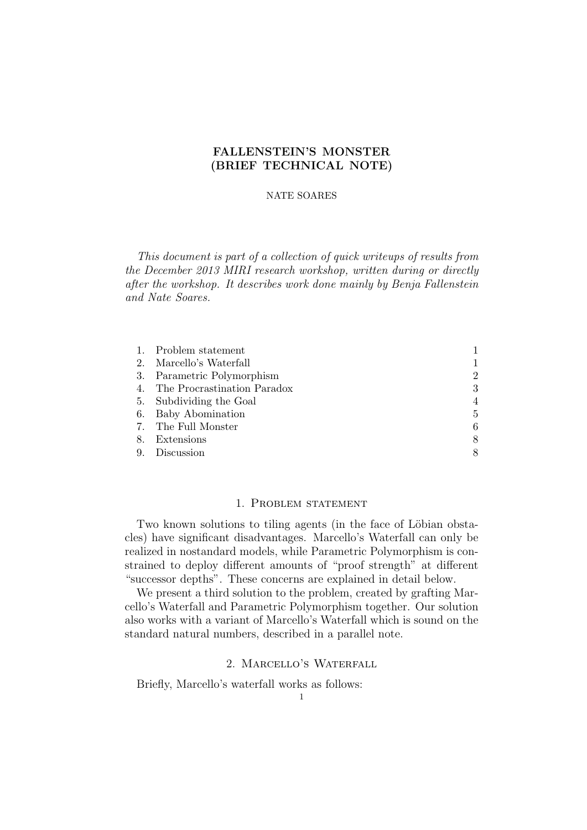# FALLENSTEIN'S MONSTER (BRIEF TECHNICAL NOTE)

### NATE SOARES

This document is part of a collection of quick writeups of results from the December 2013 MIRI research workshop, written during or directly after the workshop. It describes work done mainly by Benja Fallenstein and Nate Soares.

|    | 1. Problem statement           |                |
|----|--------------------------------|----------------|
| 2. | Marcello's Waterfall           |                |
|    | 3. Parametric Polymorphism     | $\overline{2}$ |
|    | 4. The Procrastination Paradox | 3              |
|    | 5. Subdividing the Goal        | 4              |
| 6. | Baby Abomination               | 5              |
|    | 7. The Full Monster            | 6              |
| 8. | Extensions                     | 8              |
| 9. | Discussion                     | 8              |

### 1. Problem statement

Two known solutions to tiling agents (in the face of Löbian obstacles) have significant disadvantages. Marcello's Waterfall can only be realized in nostandard models, while Parametric Polymorphism is constrained to deploy different amounts of "proof strength" at different "successor depths". These concerns are explained in detail below.

We present a third solution to the problem, created by grafting Marcello's Waterfall and Parametric Polymorphism together. Our solution also works with a variant of Marcello's Waterfall which is sound on the standard natural numbers, described in a parallel note.

# 2. Marcello's Waterfall

Briefly, Marcello's waterfall works as follows: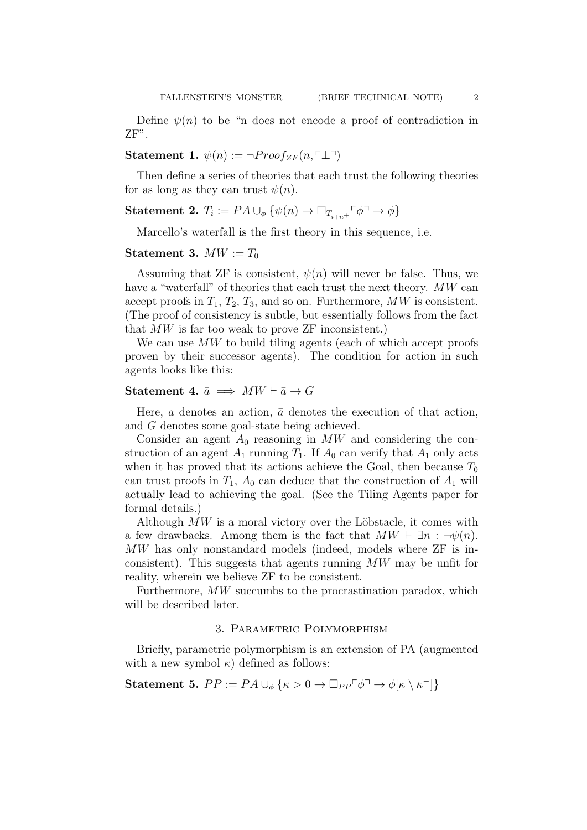Statement 1.  $\psi(n) := \neg Proof_{ZF}(n, \ulcorner \perp \urcorner)$ 

Then define a series of theories that each trust the following theories for as long as they can trust  $\psi(n)$ .

Statement 2.  $T_i := PA \cup_{\phi} \{ \psi(n) \to \Box_{T_{i+n}+} \Box \phi \}$ 

Marcello's waterfall is the first theory in this sequence, i.e.

# Statement 3.  $MW := T_0$

Assuming that ZF is consistent,  $\psi(n)$  will never be false. Thus, we have a "waterfall" of theories that each trust the next theory. MW can accept proofs in  $T_1, T_2, T_3$ , and so on. Furthermore, MW is consistent. (The proof of consistency is subtle, but essentially follows from the fact that MW is far too weak to prove ZF inconsistent.)

We can use MW to build tiling agents (each of which accept proofs proven by their successor agents). The condition for action in such agents looks like this:

# Statement 4.  $\bar{a} \implies MW \vdash \bar{a} \rightarrow G$

Here, a denotes an action,  $\bar{a}$  denotes the execution of that action, and G denotes some goal-state being achieved.

Consider an agent  $A_0$  reasoning in MW and considering the construction of an agent  $A_1$  running  $T_1$ . If  $A_0$  can verify that  $A_1$  only acts when it has proved that its actions achieve the Goal, then because  $T_0$ can trust proofs in  $T_1$ ,  $A_0$  can deduce that the construction of  $A_1$  will actually lead to achieving the goal. (See the Tiling Agents paper for formal details.)

Although  $MW$  is a moral victory over the Löbstacle, it comes with a few drawbacks. Among them is the fact that  $MW \vdash \exists n : \neg \psi(n)$ . MW has only nonstandard models (indeed, models where ZF is inconsistent). This suggests that agents running  $MW$  may be unfit for reality, wherein we believe ZF to be consistent.

Furthermore, MW succumbs to the procrastination paradox, which will be described later.

### 3. PARAMETRIC POLYMORPHISM

Briefly, parametric polymorphism is an extension of PA (augmented with a new symbol  $\kappa$ ) defined as follows:

Statement 5.  $PP := PA \cup_{\phi} {\kappa > 0} \to \Box_{PP} \ulcorner \phi \urcorner \to \phi[\kappa \setminus \kappa^{\dagger}]$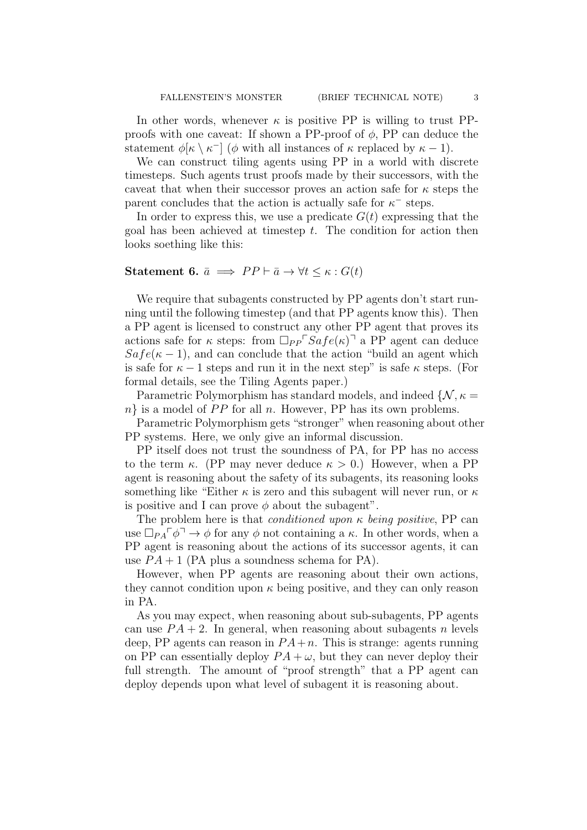In other words, whenever  $\kappa$  is positive PP is willing to trust PPproofs with one caveat: If shown a PP-proof of  $\phi$ , PP can deduce the statement  $\phi[\kappa \setminus \kappa^-]$  ( $\phi$  with all instances of  $\kappa$  replaced by  $\kappa - 1$ ).

We can construct tiling agents using PP in a world with discrete timesteps. Such agents trust proofs made by their successors, with the caveat that when their successor proves an action safe for  $\kappa$  steps the parent concludes that the action is actually safe for  $\kappa^-$  steps.

In order to express this, we use a predicate  $G(t)$  expressing that the goal has been achieved at timestep  $t$ . The condition for action then looks soething like this:

# Statement 6.  $\bar{a} \implies PP \vdash \bar{a} \rightarrow \forall t \leq \kappa : G(t)$

We require that subagents constructed by PP agents don't start running until the following timestep (and that PP agents know this). Then a PP agent is licensed to construct any other PP agent that proves its actions safe for  $\kappa$  steps: from  $\Box_{PP} \ulcorner \mathit{Safe}(\kappa) \urcorner$  a PP agent can deduce  $Safe(\kappa - 1)$ , and can conclude that the action "build an agent which is safe for  $\kappa - 1$  steps and run it in the next step" is safe  $\kappa$  steps. (For formal details, see the Tiling Agents paper.)

Parametric Polymorphism has standard models, and indeed  $\{\mathcal{N}, \kappa =$  $n$ } is a model of PP for all n. However, PP has its own problems.

Parametric Polymorphism gets "stronger" when reasoning about other PP systems. Here, we only give an informal discussion.

PP itself does not trust the soundness of PA, for PP has no access to the term  $\kappa$ . (PP may never deduce  $\kappa > 0$ .) However, when a PP agent is reasoning about the safety of its subagents, its reasoning looks something like "Either  $\kappa$  is zero and this subagent will never run, or  $\kappa$ is positive and I can prove  $\phi$  about the subagent".

The problem here is that *conditioned upon*  $\kappa$  *being positive*, PP can use  $\Box_{PA} \ulcorner \phi \urcorner \rightarrow \phi$  for any  $\phi$  not containing a  $\kappa$ . In other words, when a PP agent is reasoning about the actions of its successor agents, it can use  $PA + 1$  (PA plus a soundness schema for PA).

However, when PP agents are reasoning about their own actions, they cannot condition upon  $\kappa$  being positive, and they can only reason in PA.

As you may expect, when reasoning about sub-subagents, PP agents can use  $PA + 2$ . In general, when reasoning about subagents n levels deep, PP agents can reason in  $PA+n$ . This is strange: agents running on PP can essentially deploy  $PA + \omega$ , but they can never deploy their full strength. The amount of "proof strength" that a PP agent can deploy depends upon what level of subagent it is reasoning about.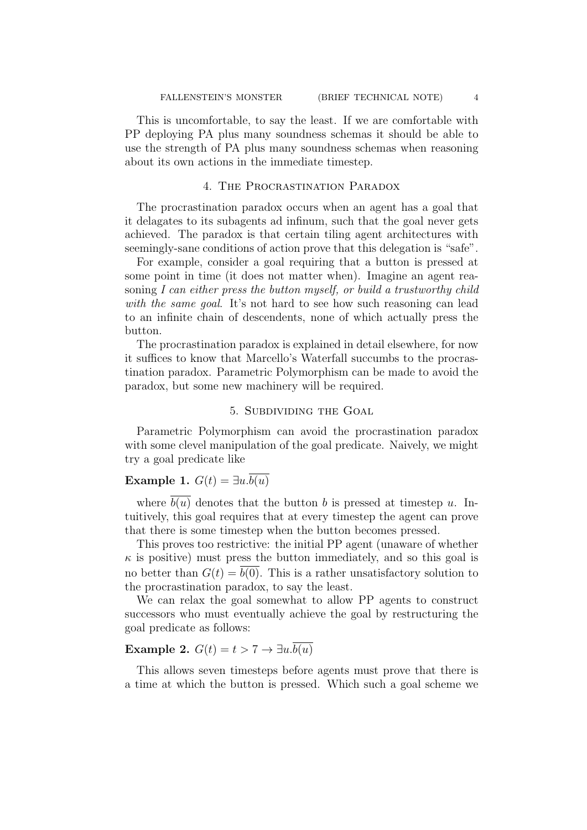This is uncomfortable, to say the least. If we are comfortable with PP deploying PA plus many soundness schemas it should be able to use the strength of PA plus many soundness schemas when reasoning about its own actions in the immediate timestep.

### 4. The Procrastination Paradox

The procrastination paradox occurs when an agent has a goal that it delagates to its subagents ad infinum, such that the goal never gets achieved. The paradox is that certain tiling agent architectures with seemingly-sane conditions of action prove that this delegation is "safe".

For example, consider a goal requiring that a button is pressed at some point in time (it does not matter when). Imagine an agent reasoning I can either press the button myself, or build a trustworthy child with the same goal. It's not hard to see how such reasoning can lead to an infinite chain of descendents, none of which actually press the button.

The procrastination paradox is explained in detail elsewhere, for now it suffices to know that Marcello's Waterfall succumbs to the procrastination paradox. Parametric Polymorphism can be made to avoid the paradox, but some new machinery will be required.

### 5. Subdividing the Goal

Parametric Polymorphism can avoid the procrastination paradox with some clevel manipulation of the goal predicate. Naively, we might try a goal predicate like

# Example 1.  $G(t) = \exists u.\overline{b(u)}$

where  $b(u)$  denotes that the button b is pressed at timestep u. Intuitively, this goal requires that at every timestep the agent can prove that there is some timestep when the button becomes pressed.

This proves too restrictive: the initial PP agent (unaware of whether  $\kappa$  is positive) must press the button immediately, and so this goal is no better than  $G(t) = b(0)$ . This is a rather unsatisfactory solution to the procrastination paradox, to say the least.

We can relax the goal somewhat to allow PP agents to construct successors who must eventually achieve the goal by restructuring the goal predicate as follows:

# Example 2.  $G(t) = t > 7 \rightarrow \exists u.\overline{b(u)}$

This allows seven timesteps before agents must prove that there is a time at which the button is pressed. Which such a goal scheme we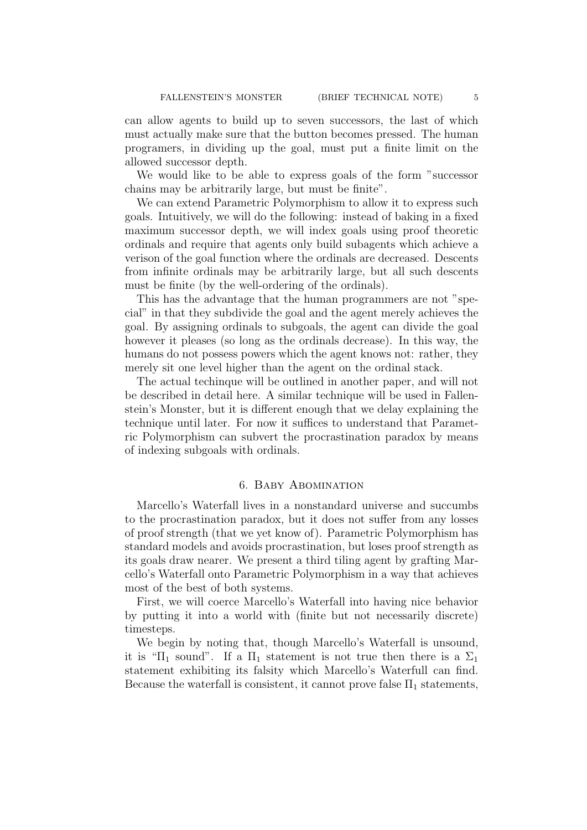can allow agents to build up to seven successors, the last of which must actually make sure that the button becomes pressed. The human programers, in dividing up the goal, must put a finite limit on the allowed successor depth.

We would like to be able to express goals of the form "successor chains may be arbitrarily large, but must be finite".

We can extend Parametric Polymorphism to allow it to express such goals. Intuitively, we will do the following: instead of baking in a fixed maximum successor depth, we will index goals using proof theoretic ordinals and require that agents only build subagents which achieve a verison of the goal function where the ordinals are decreased. Descents from infinite ordinals may be arbitrarily large, but all such descents must be finite (by the well-ordering of the ordinals).

This has the advantage that the human programmers are not "special" in that they subdivide the goal and the agent merely achieves the goal. By assigning ordinals to subgoals, the agent can divide the goal however it pleases (so long as the ordinals decrease). In this way, the humans do not possess powers which the agent knows not: rather, they merely sit one level higher than the agent on the ordinal stack.

The actual techinque will be outlined in another paper, and will not be described in detail here. A similar technique will be used in Fallenstein's Monster, but it is different enough that we delay explaining the technique until later. For now it suffices to understand that Parametric Polymorphism can subvert the procrastination paradox by means of indexing subgoals with ordinals.

#### 6. Baby Abomination

Marcello's Waterfall lives in a nonstandard universe and succumbs to the procrastination paradox, but it does not suffer from any losses of proof strength (that we yet know of). Parametric Polymorphism has standard models and avoids procrastination, but loses proof strength as its goals draw nearer. We present a third tiling agent by grafting Marcello's Waterfall onto Parametric Polymorphism in a way that achieves most of the best of both systems.

First, we will coerce Marcello's Waterfall into having nice behavior by putting it into a world with (finite but not necessarily discrete) timesteps.

We begin by noting that, though Marcello's Waterfall is unsound, it is " $\Pi_1$  sound". If a  $\Pi_1$  statement is not true then there is a  $\Sigma_1$ statement exhibiting its falsity which Marcello's Waterfull can find. Because the waterfall is consistent, it cannot prove false  $\Pi_1$  statements,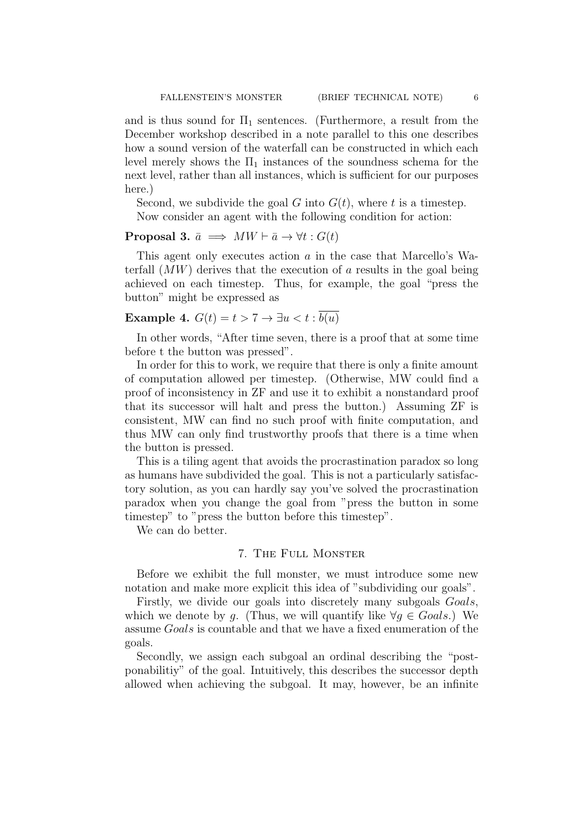and is thus sound for  $\Pi_1$  sentences. (Furthermore, a result from the December workshop described in a note parallel to this one describes how a sound version of the waterfall can be constructed in which each level merely shows the  $\Pi_1$  instances of the soundness schema for the next level, rather than all instances, which is sufficient for our purposes here.)

Second, we subdivide the goal G into  $G(t)$ , where t is a timestep. Now consider an agent with the following condition for action:

### **Proposal 3.**  $\bar{a} \implies MW \vdash \bar{a} \rightarrow \forall t : G(t)$

This agent only executes action a in the case that Marcello's Waterfall  $(MW)$  derives that the execution of a results in the goal being achieved on each timestep. Thus, for example, the goal "press the button" might be expressed as

# Example 4.  $G(t) = t > 7 \rightarrow \exists u < t : \overline{b(u)}$

In other words, "After time seven, there is a proof that at some time before t the button was pressed".

In order for this to work, we require that there is only a finite amount of computation allowed per timestep. (Otherwise, MW could find a proof of inconsistency in ZF and use it to exhibit a nonstandard proof that its successor will halt and press the button.) Assuming ZF is consistent, MW can find no such proof with finite computation, and thus MW can only find trustworthy proofs that there is a time when the button is pressed.

This is a tiling agent that avoids the procrastination paradox so long as humans have subdivided the goal. This is not a particularly satisfactory solution, as you can hardly say you've solved the procrastination paradox when you change the goal from "press the button in some timestep" to "press the button before this timestep".

We can do better.

### 7. The Full Monster

Before we exhibit the full monster, we must introduce some new notation and make more explicit this idea of "subdividing our goals".

Firstly, we divide our goals into discretely many subgoals Goals, which we denote by q. (Thus, we will quantify like  $\forall q \in \text{Goals}$ .) We assume Goals is countable and that we have a fixed enumeration of the goals.

Secondly, we assign each subgoal an ordinal describing the "postponabilitiy" of the goal. Intuitively, this describes the successor depth allowed when achieving the subgoal. It may, however, be an infinite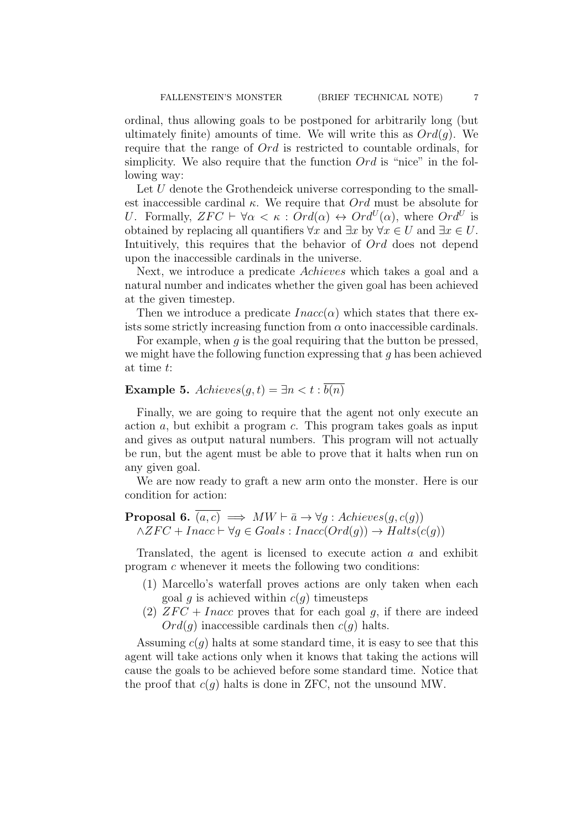ordinal, thus allowing goals to be postponed for arbitrarily long (but ultimately finite) amounts of time. We will write this as  $Ord(q)$ . We require that the range of Ord is restricted to countable ordinals, for simplicity. We also require that the function  $Ord$  is "nice" in the following way:

Let U denote the Grothendeick universe corresponding to the smallest inaccessible cardinal  $\kappa$ . We require that  $Ord$  must be absolute for U. Formally,  $ZFC \vdash \forall \alpha < \kappa : Ord(\alpha) \leftrightarrow Ord^U(\alpha)$ , where  $Ord^U$  is obtained by replacing all quantifiers  $\forall x$  and  $\exists x$  by  $\forall x \in U$  and  $\exists x \in U$ . Intuitively, this requires that the behavior of  $Ord$  does not depend upon the inaccessible cardinals in the universe.

Next, we introduce a predicate Achieves which takes a goal and a natural number and indicates whether the given goal has been achieved at the given timestep.

Then we introduce a predicate  $Inacc(\alpha)$  which states that there exists some strictly increasing function from  $\alpha$  onto inaccessible cardinals.

For example, when  $q$  is the goal requiring that the button be pressed, we might have the following function expressing that  $q$  has been achieved at time t:

# Example 5.  $Achieves(q, t) = \exists n < t : b(n)$

Finally, we are going to require that the agent not only execute an action  $a$ , but exhibit a program  $c$ . This program takes goals as input and gives as output natural numbers. This program will not actually be run, but the agent must be able to prove that it halts when run on any given goal.

We are now ready to graft a new arm onto the monster. Here is our condition for action:

**Proposal 6.** 
$$
(a, c) \implies MW \vdash \bar{a} \to \forall g : \text{Achieves}(g, c(g))
$$
  
 $\land ZFC + \text{Inacc} \vdash \forall g \in \text{Goals} : \text{Inacc}(\text{Ord}(g)) \to \text{Halts}(c(g))$ 

Translated, the agent is licensed to execute action a and exhibit program c whenever it meets the following two conditions:

- (1) Marcello's waterfall proves actions are only taken when each goal q is achieved within  $c(q)$  timeusteps
- (2)  $ZFC + Inacc$  proves that for each goal q, if there are indeed  $Ord(q)$  inaccessible cardinals then  $c(q)$  halts.

Assuming  $c(q)$  halts at some standard time, it is easy to see that this agent will take actions only when it knows that taking the actions will cause the goals to be achieved before some standard time. Notice that the proof that  $c(q)$  halts is done in ZFC, not the unsound MW.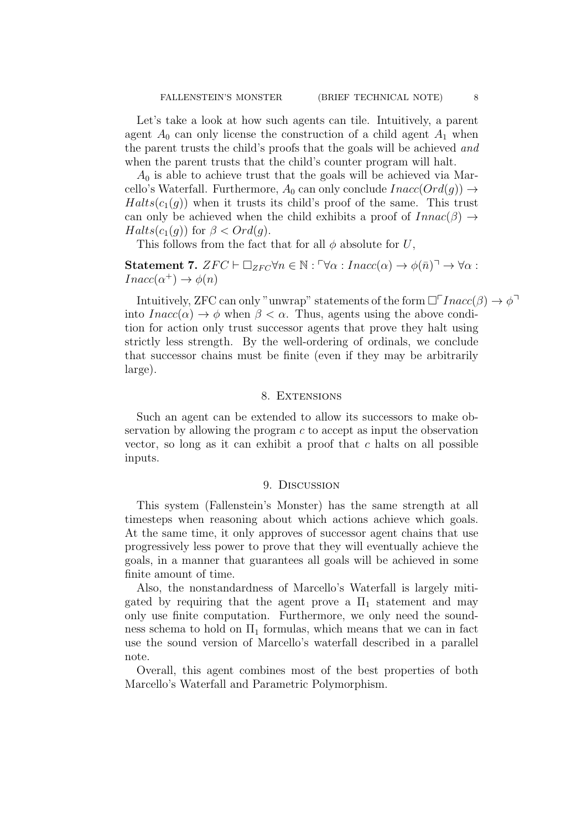Let's take a look at how such agents can tile. Intuitively, a parent agent  $A_0$  can only license the construction of a child agent  $A_1$  when the parent trusts the child's proofs that the goals will be achieved and when the parent trusts that the child's counter program will halt.

 $A_0$  is able to achieve trust that the goals will be achieved via Marcello's Waterfall. Furthermore,  $A_0$  can only conclude  $Inacc(Ord(g)) \rightarrow$  $Halts(c_1(g))$  when it trusts its child's proof of the same. This trust can only be achieved when the child exhibits a proof of  $Innac(\beta) \rightarrow$  $Halts(c_1(g))$  for  $\beta < Ord(g)$ .

This follows from the fact that for all  $\phi$  absolute for U,

Statement 7.  $ZFC \vdash \Box_{ZFC} \forall n \in \mathbb{N} : \Box \forall \alpha : Inacc(\alpha) \rightarrow \phi(\bar{n}) \Box \rightarrow \forall \alpha :$  $Inacc(\alpha^+) \to \phi(n)$ 

Intuitively, ZFC can only "unwrap" statements of the form  $\Box$  Inacc( $\beta$ )  $\rightarrow \phi$ <sup>-1</sup> into  $Inacc(\alpha) \to \phi$  when  $\beta < \alpha$ . Thus, agents using the above condition for action only trust successor agents that prove they halt using strictly less strength. By the well-ordering of ordinals, we conclude that successor chains must be finite (even if they may be arbitrarily large).

#### 8. EXTENSIONS

Such an agent can be extended to allow its successors to make observation by allowing the program c to accept as input the observation vector, so long as it can exhibit a proof that c halts on all possible inputs.

#### 9. Discussion

This system (Fallenstein's Monster) has the same strength at all timesteps when reasoning about which actions achieve which goals. At the same time, it only approves of successor agent chains that use progressively less power to prove that they will eventually achieve the goals, in a manner that guarantees all goals will be achieved in some finite amount of time.

Also, the nonstandardness of Marcello's Waterfall is largely mitigated by requiring that the agent prove a  $\Pi_1$  statement and may only use finite computation. Furthermore, we only need the soundness schema to hold on  $\Pi_1$  formulas, which means that we can in fact use the sound version of Marcello's waterfall described in a parallel note.

Overall, this agent combines most of the best properties of both Marcello's Waterfall and Parametric Polymorphism.